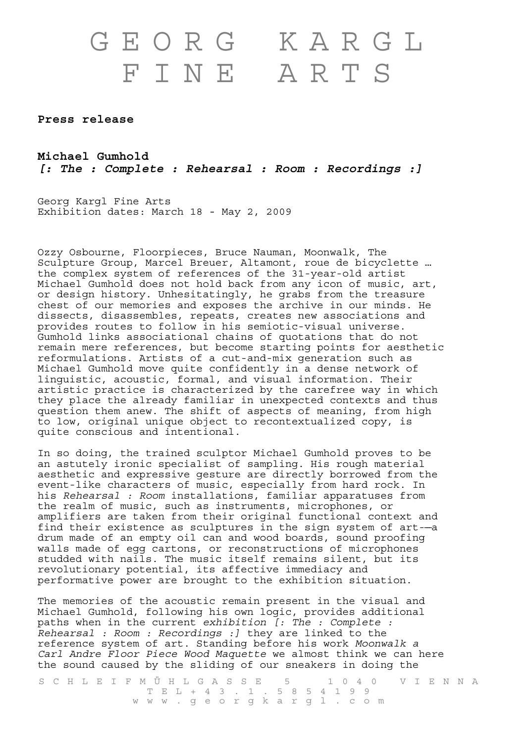## GEORG KARGL FINE ARTS

**Press release** 

**Michael Gumhold**  *[: The : Complete : Rehearsal : Room : Recordings :]*

Georg Kargl Fine Arts Exhibition dates: March 18 - May 2, 2009

Ozzy Osbourne, Floorpieces, Bruce Nauman, Moonwalk, The Sculpture Group, Marcel Breuer, Altamont, roue de bicyclette … the complex system of references of the 31-year-old artist Michael Gumhold does not hold back from any icon of music, art, or design history. Unhesitatingly, he grabs from the treasure chest of our memories and exposes the archive in our minds. He dissects, disassembles, repeats, creates new associations and provides routes to follow in his semiotic-visual universe. Gumhold links associational chains of quotations that do not remain mere references, but become starting points for aesthetic reformulations. Artists of a cut-and-mix generation such as Michael Gumhold move quite confidently in a dense network of linguistic, acoustic, formal, and visual information. Their artistic practice is characterized by the carefree way in which they place the already familiar in unexpected contexts and thus question them anew. The shift of aspects of meaning, from high to low, original unique object to recontextualized copy, is quite conscious and intentional.

In so doing, the trained sculptor Michael Gumhold proves to be an astutely ironic specialist of sampling. His rough material aesthetic and expressive gesture are directly borrowed from the event-like characters of music, especially from hard rock. In his *Rehearsal : Room* installations, familiar apparatuses from the realm of music, such as instruments, microphones, or amplifiers are taken from their original functional context and find their existence as sculptures in the sign system of art--drum made of an empty oil can and wood boards, sound proofing walls made of egg cartons, or reconstructions of microphones studded with nails. The music itself remains silent, but its revolutionary potential, its affective immediacy and performative power are brought to the exhibition situation.

The memories of the acoustic remain present in the visual and Michael Gumhold, following his own logic, provides additional paths when in the current *exhibition [: The : Complete : Rehearsal : Room : Recordings :]* they are linked to the reference system of art. Standing before his work *Moonwalk a Carl Andre Floor Piece Wood Maquette* we almost think we can here the sound caused by the sliding of our sneakers in doing the

SCHLEIFMÜHLGASSE 5 1040 VIENNA TEL + 4 3 . 1 . 5 8 5 4 1 9 9 www.georgkargl.com